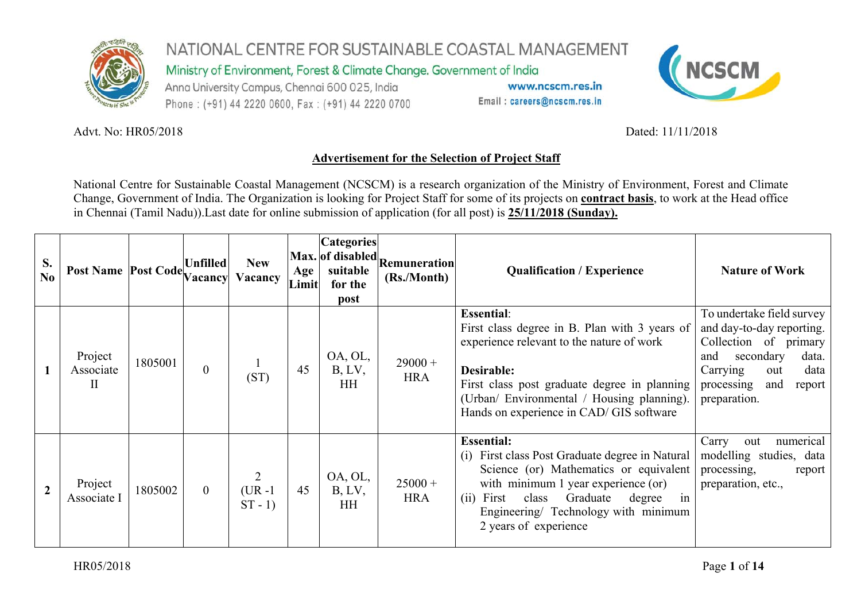

Ministry of Environment, Forest & Climate Change. Government of India

Anna University Campus, Chennai 600 025, India Phone: (+91) 44 2220 0600, Fax: (+91) 44 2220 0700

www.ncscm.res.in Email: careers@ncscm.res.in



#### Advt. No: HR05/2018

Dated: 11/11/2018

### **Advertisement for the Selection of Project Staff**

National Centre for Sustainable Coastal Management (NCSCM) is a research organization of the Ministry of Environment, Forest and Climate Change, Government of India. The Organization is looking for Project Staff for some of its projects on **contract basis**, to work at the Head office in Chennai (Tamil Nadu)).Last date for online submission of application (for all post) is **25/11/2018 (Sunday).**

| S.<br>$\overline{\text{No}}$ | Post Name Post Code Unfilled         |         | acancy         | <b>New</b><br>Vacancy                    | Age<br>Limit | <b>Categories</b><br>suitable<br>for the<br>post | $ Max.$ of disabled Remuneration<br>(Rs./Month) | <b>Qualification / Experience</b>                                                                                                                                                                                                                                           | <b>Nature of Work</b>                                                                                                                                                                  |
|------------------------------|--------------------------------------|---------|----------------|------------------------------------------|--------------|--------------------------------------------------|-------------------------------------------------|-----------------------------------------------------------------------------------------------------------------------------------------------------------------------------------------------------------------------------------------------------------------------------|----------------------------------------------------------------------------------------------------------------------------------------------------------------------------------------|
|                              | Project<br>Associate<br>$\mathbf{I}$ | 1805001 | $\overline{0}$ | (ST)                                     | 45           | OA, OL,<br>B, LV,<br><b>HH</b>                   | $29000 +$<br><b>HRA</b>                         | <b>Essential:</b><br>First class degree in B. Plan with 3 years of<br>experience relevant to the nature of work<br>Desirable:<br>First class post graduate degree in planning<br>(Urban/ Environmental / Housing planning).<br>Hands on experience in CAD/ GIS software     | To undertake field survey<br>and day-to-day reporting.<br>Collection of primary<br>secondary<br>data.<br>and<br>data<br>Carrying<br>out<br>and<br>processing<br>report<br>preparation. |
|                              | Project<br>Associate I               | 1805002 | $\overline{0}$ | $\overline{2}$<br>$(UR - 1)$<br>$ST - 1$ | 45           | OA, OL,<br>B, LV,<br><b>HH</b>                   | $25000 +$<br><b>HRA</b>                         | <b>Essential:</b><br>(i) First class Post Graduate degree in Natural<br>Science (or) Mathematics or equivalent<br>with minimum 1 year experience (or)<br>Graduate<br>in<br>First<br>class<br>degree<br>(i)<br>Engineering/ Technology with minimum<br>2 years of experience | Carry<br>numerical<br>out<br>modelling studies, data<br>processing,<br>report<br>preparation, etc.,                                                                                    |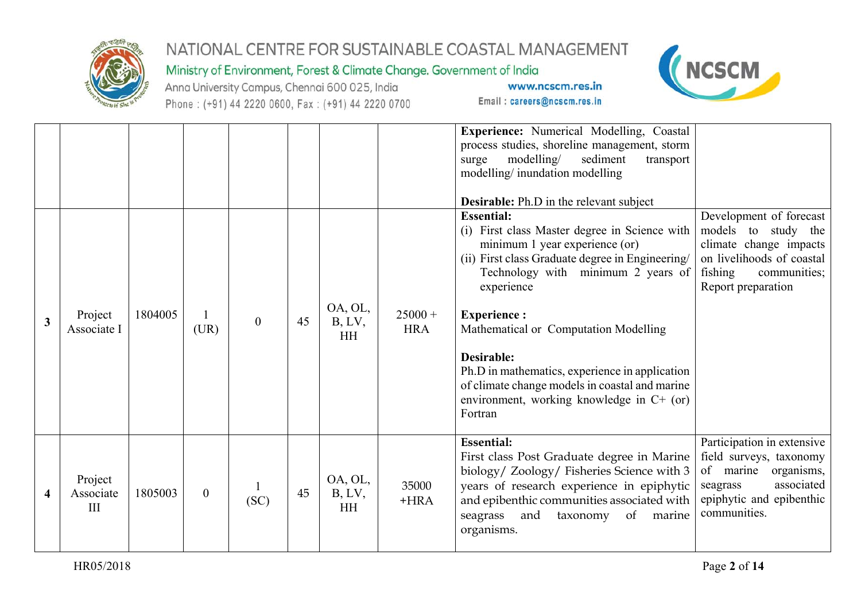

#### Ministry of Environment, Forest & Climate Change. Government of India

Anna University Campus, Chennai 600 025, India Phone: (+91) 44 2220 0600, Fax: (+91) 44 2220 0700



|                         |                             |         |                  |          |    |                                |                         | <b>Experience:</b> Numerical Modelling, Coastal<br>process studies, shoreline management, storm<br>modelling/<br>sediment<br>transport<br>surge<br>modelling/inundation modelling<br><b>Desirable:</b> Ph.D in the relevant subject                                                                                                                                                                                                                          |                                                                                                                                                        |
|-------------------------|-----------------------------|---------|------------------|----------|----|--------------------------------|-------------------------|--------------------------------------------------------------------------------------------------------------------------------------------------------------------------------------------------------------------------------------------------------------------------------------------------------------------------------------------------------------------------------------------------------------------------------------------------------------|--------------------------------------------------------------------------------------------------------------------------------------------------------|
| $\overline{\mathbf{3}}$ | Project<br>Associate I      | 1804005 | (UR)             | $\theta$ | 45 | OA, OL,<br>B, LV,<br><b>HH</b> | $25000 +$<br><b>HRA</b> | <b>Essential:</b><br>(i) First class Master degree in Science with<br>minimum 1 year experience (or)<br>(ii) First class Graduate degree in Engineering/<br>Technology with minimum 2 years of<br>experience<br><b>Experience:</b><br>Mathematical or Computation Modelling<br><b>Desirable:</b><br>Ph.D in mathematics, experience in application<br>of climate change models in coastal and marine<br>environment, working knowledge in C+ (or)<br>Fortran | Development of forecast<br>models to study the<br>climate change impacts<br>on livelihoods of coastal<br>fishing<br>communities;<br>Report preparation |
| 4                       | Project<br>Associate<br>III | 1805003 | $\boldsymbol{0}$ | (SC)     | 45 | OA, OL,<br>B, LV,<br><b>HH</b> | 35000<br>$+HRA$         | <b>Essential:</b><br>First class Post Graduate degree in Marine<br>biology/ Zoology/ Fisheries Science with 3<br>years of research experience in epiphytic<br>and epibenthic communities associated with<br>and<br>seagrass<br>of marine<br>taxonomy<br>organisms.                                                                                                                                                                                           | Participation in extensive<br>field surveys, taxonomy<br>of marine organisms,<br>associated<br>seagrass<br>epiphytic and epibenthic<br>communities.    |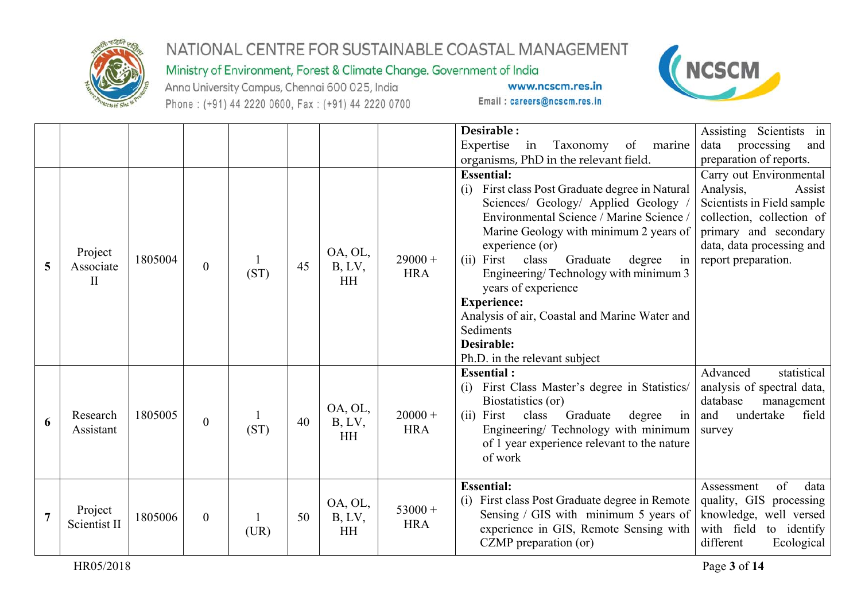

### Ministry of Environment, Forest & Climate Change. Government of India

Anna University Campus, Chennai 600 025, India Phone: (+91) 44 2220 0600, Fax: (+91) 44 2220 0700



|                |                         |         |                  |      |    |           |            | Desirable:                                                 | Assisting Scientists in    |
|----------------|-------------------------|---------|------------------|------|----|-----------|------------|------------------------------------------------------------|----------------------------|
|                |                         |         |                  |      |    |           |            | Expertise<br>marine<br>Taxonomy<br>of<br>in                | data<br>processing<br>and  |
|                |                         |         |                  |      |    |           |            | organisms, PhD in the relevant field.                      | preparation of reports.    |
|                |                         |         |                  |      |    |           |            | <b>Essential:</b>                                          | Carry out Environmental    |
|                |                         |         |                  |      |    |           |            | First class Post Graduate degree in Natural<br>(i)         | Analysis,<br>Assist        |
|                |                         |         |                  |      |    |           |            | Sciences/ Geology/ Applied Geology                         | Scientists in Field sample |
|                |                         |         |                  |      |    |           |            | Environmental Science / Marine Science                     | collection, collection of  |
|                |                         |         |                  |      |    |           |            | Marine Geology with minimum 2 years of                     | primary and secondary      |
|                | Project                 |         |                  |      |    | OA, OL,   |            | experience (or)                                            | data, data processing and  |
| 5              | Associate               | 1805004 | $\boldsymbol{0}$ |      | 45 | B, LV,    | $29000 +$  | class<br>in<br>First<br>Graduate<br>(ii)<br>degree         | report preparation.        |
|                | $\mathbf{I}$            |         |                  | (ST) |    | <b>HH</b> | <b>HRA</b> | Engineering/Technology with minimum 3                      |                            |
|                |                         |         |                  |      |    |           |            | years of experience                                        |                            |
|                |                         |         |                  |      |    |           |            | <b>Experience:</b>                                         |                            |
|                |                         |         |                  |      |    |           |            | Analysis of air, Coastal and Marine Water and<br>Sediments |                            |
|                |                         |         |                  |      |    |           |            | Desirable:                                                 |                            |
|                |                         |         |                  |      |    |           |            | Ph.D. in the relevant subject                              |                            |
|                |                         |         |                  |      |    |           |            | <b>Essential:</b>                                          | statistical<br>Advanced    |
|                |                         |         |                  |      |    |           |            | First Class Master's degree in Statistics/<br>(i)          | analysis of spectral data, |
|                |                         |         |                  |      |    |           |            | Biostatistics (or)                                         | database<br>management     |
|                | Research                | 1805005 |                  |      |    | OA, OL,   | $20000 +$  | (ii) First<br>class<br>Graduate<br>degree<br>in            | undertake<br>and<br>field  |
| 6              | Assistant               |         | $\overline{0}$   | (ST) | 40 | B, LV,    | <b>HRA</b> | Engineering/ Technology with minimum                       | survey                     |
|                |                         |         |                  |      |    | HH        |            | of 1 year experience relevant to the nature                |                            |
|                |                         |         |                  |      |    |           |            | of work                                                    |                            |
|                |                         |         |                  |      |    |           |            |                                                            |                            |
|                |                         |         |                  |      |    |           |            | <b>Essential:</b>                                          | of<br>data<br>Assessment   |
|                |                         |         |                  |      |    | OA, OL,   | $53000 +$  | (i) First class Post Graduate degree in Remote             | quality, GIS processing    |
| $\overline{7}$ | Project<br>Scientist II | 1805006 | $\boldsymbol{0}$ |      | 50 | B, LV,    | <b>HRA</b> | Sensing / GIS with minimum 5 years of                      | knowledge, well versed     |
|                |                         |         |                  | (UR) |    | <b>HH</b> |            | experience in GIS, Remote Sensing with                     | with field<br>to identify  |
|                |                         |         |                  |      |    |           |            | CZMP preparation (or)                                      | different<br>Ecological    |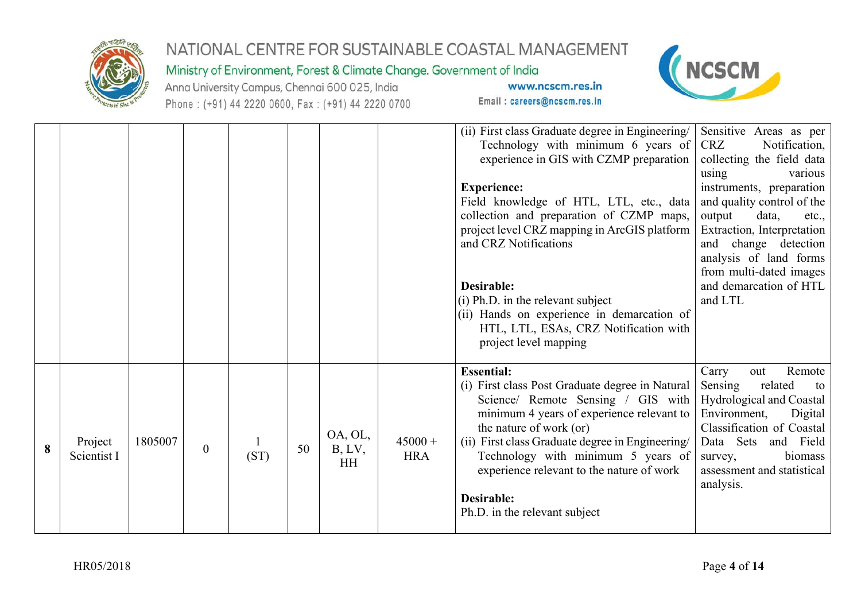

#### Ministry of Environment, Forest & Climate Change. Government of India

Anna University Campus, Chennai 600 025, India Phone: (+91) 44 2220 0600, Fax: (+91) 44 2220 0700



|   |                        |         |              |      |    |                                |                         | (ii) First class Graduate degree in Engineering   Sensitive Areas as per<br>Technology with minimum 6 years of $CRZ$<br>experience in GIS with CZMP preparation collecting the field data<br><b>Experience:</b><br>Field knowledge of HTL, LTL, etc., data<br>collection and preparation of CZMP maps,<br>project level CRZ mapping in ArcGIS platform<br>and CRZ Notifications<br><b>Desirable:</b><br>(i) Ph.D. in the relevant subject<br>(ii) Hands on experience in demarcation of | Notification,<br>using<br>various<br>instruments, preparation<br>and quality control of the<br>output<br>data,<br>etc.,<br>Extraction, Interpretation<br>and change detection<br>analysis of land forms<br>from multi-dated images<br>and demarcation of HTL<br>and LTL |
|---|------------------------|---------|--------------|------|----|--------------------------------|-------------------------|-----------------------------------------------------------------------------------------------------------------------------------------------------------------------------------------------------------------------------------------------------------------------------------------------------------------------------------------------------------------------------------------------------------------------------------------------------------------------------------------|-------------------------------------------------------------------------------------------------------------------------------------------------------------------------------------------------------------------------------------------------------------------------|
|   |                        |         |              |      |    |                                |                         | HTL, LTL, ESAs, CRZ Notification with<br>project level mapping                                                                                                                                                                                                                                                                                                                                                                                                                          |                                                                                                                                                                                                                                                                         |
| 8 | Project<br>Scientist I | 1805007 | $\mathbf{0}$ | (ST) | 50 | OA, OL,<br>B, LV,<br><b>HH</b> | $45000 +$<br><b>HRA</b> | <b>Essential:</b><br>(i) First class Post Graduate degree in Natural<br>Science/ Remote Sensing / GIS with<br>minimum 4 years of experience relevant to  <br>the nature of work (or)<br>(ii) First class Graduate degree in Engineering/<br>Technology with minimum 5 years of<br>experience relevant to the nature of work<br><b>Desirable:</b><br>Ph.D. in the relevant subject                                                                                                       | Remote<br>Carry<br>out<br>Sensing<br>related<br>to<br>Hydrological and Coastal<br>Environment,<br>Digital<br>Classification of Coastal<br>Data Sets<br>and Field<br>biomass<br>survey,<br>assessment and statistical<br>analysis.                                       |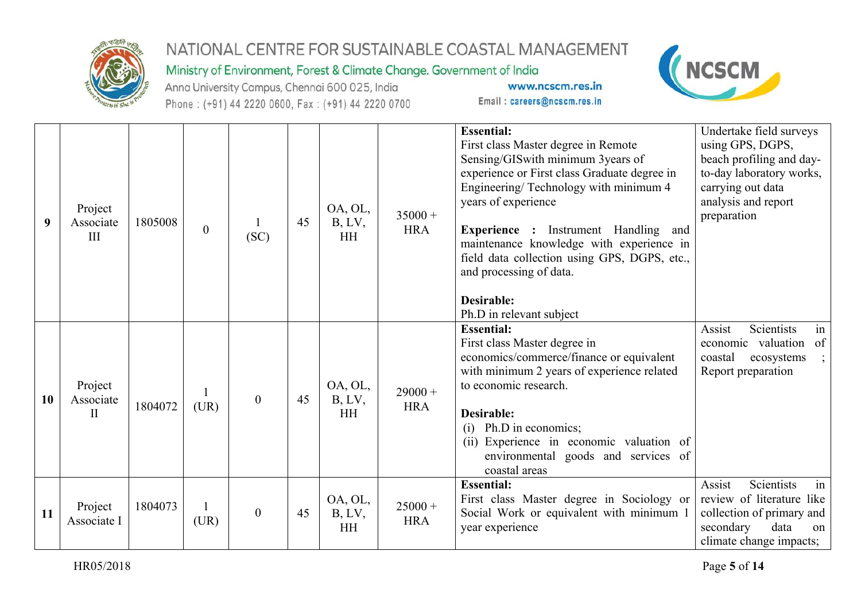

### Ministry of Environment, Forest & Climate Change. Government of India

Anna University Campus, Chennai 600 025, India Phone: (+91) 44 2220 0600, Fax: (+91) 44 2220 0700



| 9  | Project<br>Associate<br>III          | 1805008 | $\mathbf{0}$ | (SC)             | 45 | OA, OL,<br>B, LV,<br><b>HH</b> | $35000 +$<br><b>HRA</b> | <b>Essential:</b><br>First class Master degree in Remote<br>Sensing/GISwith minimum 3years of<br>experience or First class Graduate degree in<br>Engineering/Technology with minimum 4<br>years of experience<br>Experience : Instrument Handling and<br>maintenance knowledge with experience in<br>field data collection using GPS, DGPS, etc.,<br>and processing of data.<br><b>Desirable:</b><br>Ph.D in relevant subject | Undertake field surveys<br>using GPS, DGPS,<br>beach profiling and day-<br>to-day laboratory works,<br>carrying out data<br>analysis and report<br>preparation |
|----|--------------------------------------|---------|--------------|------------------|----|--------------------------------|-------------------------|-------------------------------------------------------------------------------------------------------------------------------------------------------------------------------------------------------------------------------------------------------------------------------------------------------------------------------------------------------------------------------------------------------------------------------|----------------------------------------------------------------------------------------------------------------------------------------------------------------|
| 10 | Project<br>Associate<br>$\mathbf{I}$ | 1804072 | (UR)         | $\theta$         | 45 | OA, OL,<br>B, LV,<br><b>HH</b> | $29000 +$<br><b>HRA</b> | <b>Essential:</b><br>First class Master degree in<br>economics/commerce/finance or equivalent<br>with minimum 2 years of experience related<br>to economic research.<br><b>Desirable:</b><br>$(i)$ Ph.D in economics;<br>(ii) Experience in economic valuation of<br>environmental goods and services of<br>coastal areas                                                                                                     | Assist<br>Scientists<br>in<br>economic valuation<br>of<br>coastal<br>ecosystems<br>Report preparation                                                          |
| 11 | Project<br>Associate I               | 1804073 | (UR)         | $\boldsymbol{0}$ | 45 | OA, OL,<br>B, LV,<br><b>HH</b> | $25000 +$<br><b>HRA</b> | <b>Essential:</b><br>First class Master degree in Sociology or<br>Social Work or equivalent with minimum 1<br>year experience                                                                                                                                                                                                                                                                                                 | Assist<br>Scientists<br>in<br>review of literature like<br>collection of primary and<br>secondary<br>data<br>on<br>climate change impacts;                     |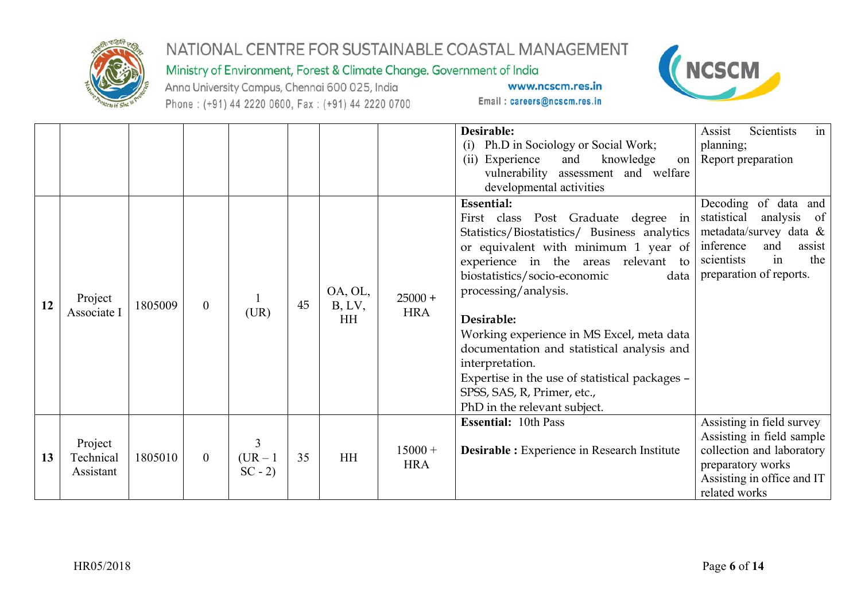

### Ministry of Environment, Forest & Climate Change. Government of India

Anna University Campus, Chennai 600 025, India Phone: (+91) 44 2220 0600, Fax: (+91) 44 2220 0700



|    |                                   |         |                  |                             |    |                     |                         | Desirable:<br>(i) Ph.D in Sociology or Social Work;<br>(ii) Experience<br>and<br>knowledge                                                                                                                                                             | Assist<br>Scientists<br>in<br>planning;<br>on   Report preparation                                                                                            |
|----|-----------------------------------|---------|------------------|-----------------------------|----|---------------------|-------------------------|--------------------------------------------------------------------------------------------------------------------------------------------------------------------------------------------------------------------------------------------------------|---------------------------------------------------------------------------------------------------------------------------------------------------------------|
|    |                                   |         |                  |                             |    |                     |                         | vulnerability assessment and welfare<br>developmental activities                                                                                                                                                                                       |                                                                                                                                                               |
|    |                                   |         |                  |                             |    | OA, OL,             |                         | <b>Essential:</b><br>First class Post Graduate degree in<br>Statistics/Biostatistics/Business analytics<br>or equivalent with minimum 1 year of<br>experience in the areas relevant to<br>biostatistics/socio-economic<br>data<br>processing/analysis. | Decoding of data and<br>statistical analysis of<br>metadata/survey data &<br>inference<br>and<br>assist<br>the<br>scientists<br>in<br>preparation of reports. |
| 12 | Project<br>Associate I            | 1805009 | $\boldsymbol{0}$ | (UR)                        | 45 | B, LV,<br><b>HH</b> | $25000 +$<br><b>HRA</b> | Desirable:<br>Working experience in MS Excel, meta data<br>documentation and statistical analysis and<br>interpretation.<br>Expertise in the use of statistical packages -<br>SPSS, SAS, R, Primer, etc.,<br>PhD in the relevant subject.              |                                                                                                                                                               |
| 13 | Project<br>Technical<br>Assistant | 1805010 | $\boldsymbol{0}$ | 3<br>$(UR - 1)$<br>$SC - 2$ | 35 | <b>HH</b>           | $15000 +$<br><b>HRA</b> | <b>Essential: 10th Pass</b><br><b>Desirable :</b> Experience in Research Institute                                                                                                                                                                     | Assisting in field survey<br>Assisting in field sample<br>collection and laboratory<br>preparatory works<br>Assisting in office and IT<br>related works       |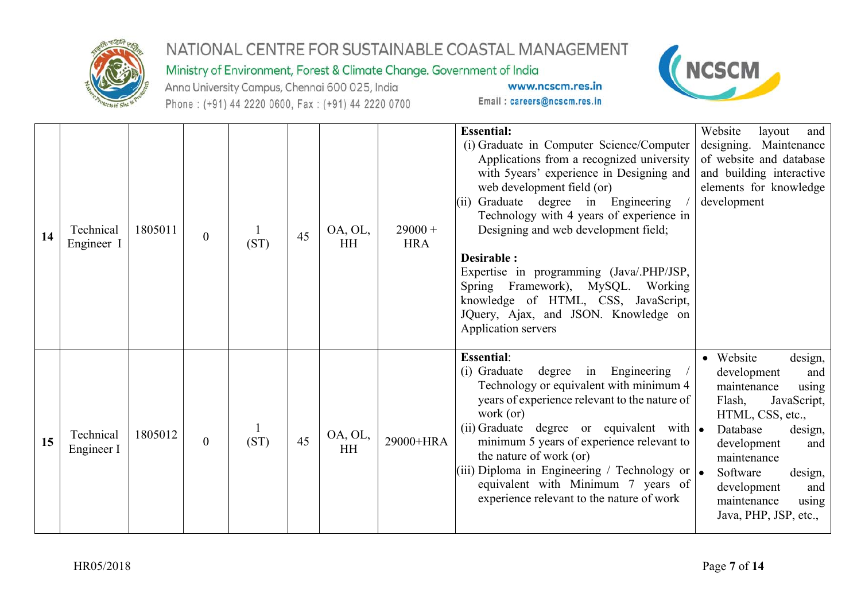

### Ministry of Environment, Forest & Climate Change. Government of India

Anna University Campus, Chennai 600 025, India Phone: (+91) 44 2220 0600, Fax: (+91) 44 2220 0700



| 14 | Technical<br>Engineer I | 1805011 | $\boldsymbol{0}$ | (ST) | 45 | OA, OL,<br><b>HH</b> | $29000 +$<br><b>HRA</b> | <b>Essential:</b><br>(i) Graduate in Computer Science/Computer<br>Applications from a recognized university<br>with 5years' experience in Designing and<br>web development field (or)<br>Graduate degree in Engineering<br>(ii)<br>Technology with 4 years of experience in<br>Designing and web development field;<br>Desirable :<br>Expertise in programming (Java/.PHP/JSP,<br>Spring Framework), MySQL. Working<br>knowledge of HTML, CSS, JavaScript,<br>JQuery, Ajax, and JSON. Knowledge on<br>Application servers | Website<br>layout<br>and<br>designing. Maintenance<br>of website and database<br>and building interactive<br>elements for knowledge<br>development                                                                                                                        |
|----|-------------------------|---------|------------------|------|----|----------------------|-------------------------|---------------------------------------------------------------------------------------------------------------------------------------------------------------------------------------------------------------------------------------------------------------------------------------------------------------------------------------------------------------------------------------------------------------------------------------------------------------------------------------------------------------------------|---------------------------------------------------------------------------------------------------------------------------------------------------------------------------------------------------------------------------------------------------------------------------|
| 15 | Technical<br>Engineer I | 1805012 | $\overline{0}$   | (ST) | 45 | OA, OL,<br><b>HH</b> | 29000+HRA               | <b>Essential:</b><br>(i) Graduate<br>degree in Engineering<br>Technology or equivalent with minimum 4<br>years of experience relevant to the nature of<br>work (or)<br>(ii) Graduate degree or equivalent with $\bullet$<br>minimum 5 years of experience relevant to<br>the nature of work (or)<br>(iii) Diploma in Engineering / Technology or $\bullet$<br>equivalent with Minimum 7 years of<br>experience relevant to the nature of work                                                                             | • Website<br>design,<br>development<br>and<br>maintenance<br>using<br>Flash,<br>JavaScript,<br>HTML, CSS, etc.,<br>Database<br>design,<br>development<br>and<br>maintenance<br>Software<br>design,<br>development<br>and<br>maintenance<br>using<br>Java, PHP, JSP, etc., |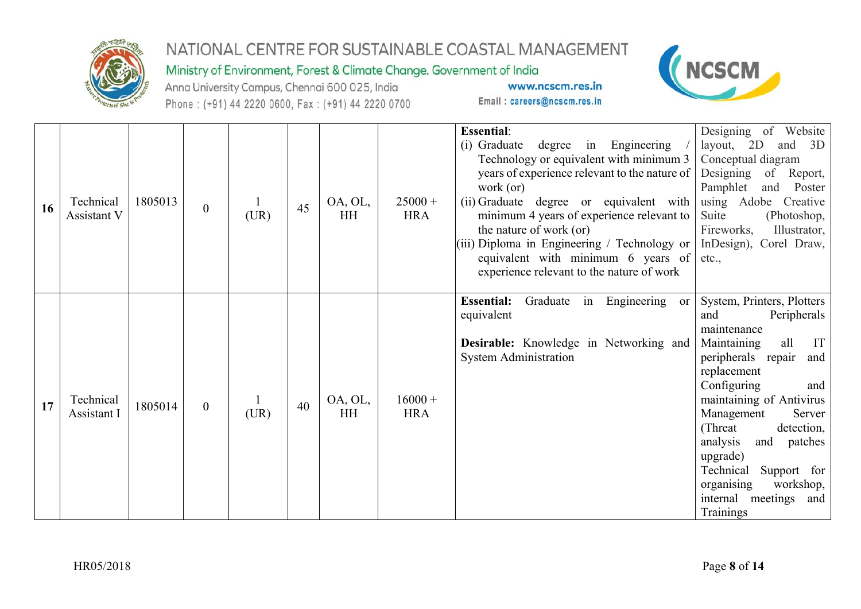

#### Ministry of Environment, Forest & Climate Change. Government of India

Anna University Campus, Chennai 600 025, India Phone: (+91) 44 2220 0600, Fax: (+91) 44 2220 0700



|    |                          |         |                  |      |    |                      |                         | <b>Essential:</b>                                                                                                                                                                                                                                                                                                                                                                                        | Designing of Website                                                                                                                                                                                                                                                                                                                                                               |
|----|--------------------------|---------|------------------|------|----|----------------------|-------------------------|----------------------------------------------------------------------------------------------------------------------------------------------------------------------------------------------------------------------------------------------------------------------------------------------------------------------------------------------------------------------------------------------------------|------------------------------------------------------------------------------------------------------------------------------------------------------------------------------------------------------------------------------------------------------------------------------------------------------------------------------------------------------------------------------------|
| 16 | Technical<br>Assistant V | 1805013 | $\boldsymbol{0}$ | (UR) | 45 | OA, OL,<br>HH        | $25000 +$<br><b>HRA</b> | (i) Graduate<br>degree in Engineering<br>Technology or equivalent with minimum 3<br>years of experience relevant to the nature of<br>work (or)<br>(ii) Graduate degree or equivalent with<br>minimum 4 years of experience relevant to<br>the nature of work (or)<br>$(iii)$ Diploma in Engineering / Technology or<br>equivalent with minimum $6$ years of<br>experience relevant to the nature of work | layout, 2D<br>and 3D<br>Conceptual diagram<br>Designing<br>Report,<br>of<br>Pamphlet<br>Poster<br>and<br>using Adobe Creative<br>Suite<br>(Photoshop,<br>Fireworks,<br>Illustrator,<br>InDesign), Corel Draw,<br>etc.,                                                                                                                                                             |
| 17 | Technical<br>Assistant I | 1805014 | $\overline{0}$   | (UR) | 40 | OA, OL,<br><b>HH</b> | $16000 +$<br><b>HRA</b> | Graduate in Engineering<br><b>Essential:</b><br><b>or</b><br>equivalent<br>Desirable: Knowledge in Networking and<br><b>System Administration</b>                                                                                                                                                                                                                                                        | System, Printers, Plotters<br>Peripherals<br>and<br>maintenance<br>all<br>IT<br>Maintaining<br>peripherals repair<br>and<br>replacement<br>Configuring<br>and<br>maintaining of Antivirus<br>Management<br>Server<br>(Threat)<br>detection,<br>analysis<br>and<br>patches<br>upgrade)<br>Technical<br>Support for<br>workshop,<br>organising<br>internal meetings and<br>Trainings |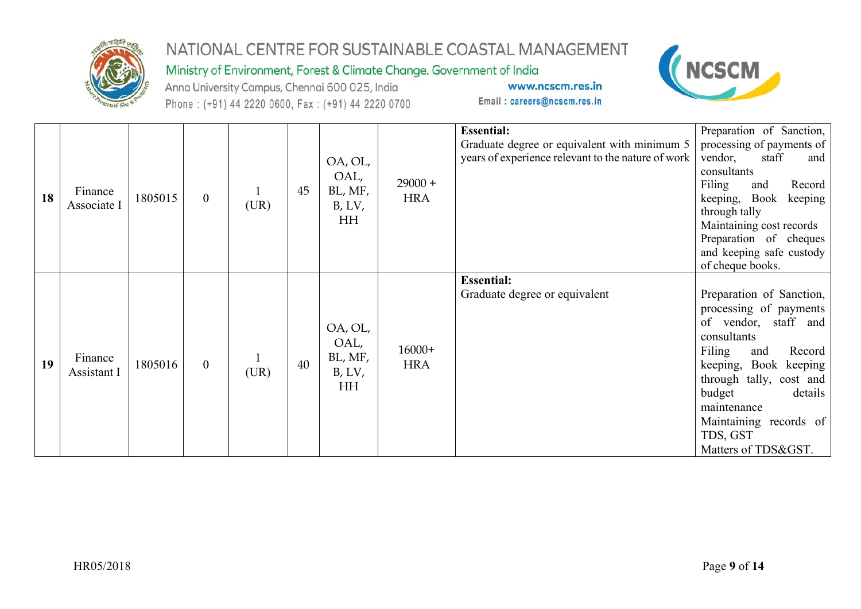

### Ministry of Environment, Forest & Climate Change. Government of India

Anna University Campus, Chennai 600 025, India Phone: (+91) 44 2220 0600, Fax: (+91) 44 2220 0700



| 18 | Finance<br>Associate I | 1805015 | $\overline{0}$ | (UR) | 45 | OA, OL,<br>OAL,<br>BL, MF,<br>B, LV,<br>HH | $29000 +$<br><b>HRA</b> | <b>Essential:</b><br>Graduate degree or equivalent with minimum 5<br>years of experience relevant to the nature of work | Preparation of Sanction,<br>processing of payments of<br>vendor,<br>staff<br>and<br>consultants<br>Filing<br>Record<br>and<br>keeping, Book<br>keeping<br>through tally<br>Maintaining cost records<br>Preparation of cheques                                                          |
|----|------------------------|---------|----------------|------|----|--------------------------------------------|-------------------------|-------------------------------------------------------------------------------------------------------------------------|----------------------------------------------------------------------------------------------------------------------------------------------------------------------------------------------------------------------------------------------------------------------------------------|
| 19 | Finance<br>Assistant I | 1805016 | $\overline{0}$ | (UR) | 40 | OA, OL,<br>OAL,<br>BL, MF,<br>B, LV,<br>HH | $16000+$<br><b>HRA</b>  | <b>Essential:</b><br>Graduate degree or equivalent                                                                      | and keeping safe custody<br>of cheque books.<br>Preparation of Sanction,<br>processing of payments<br>of vendor, staff and<br>consultants<br>Filing<br>Record<br>and<br>keeping, Book keeping<br>through tally, cost and<br>budget<br>details<br>maintenance<br>Maintaining records of |
|    |                        |         |                |      |    |                                            |                         |                                                                                                                         | TDS, GST<br>Matters of TDS&GST.                                                                                                                                                                                                                                                        |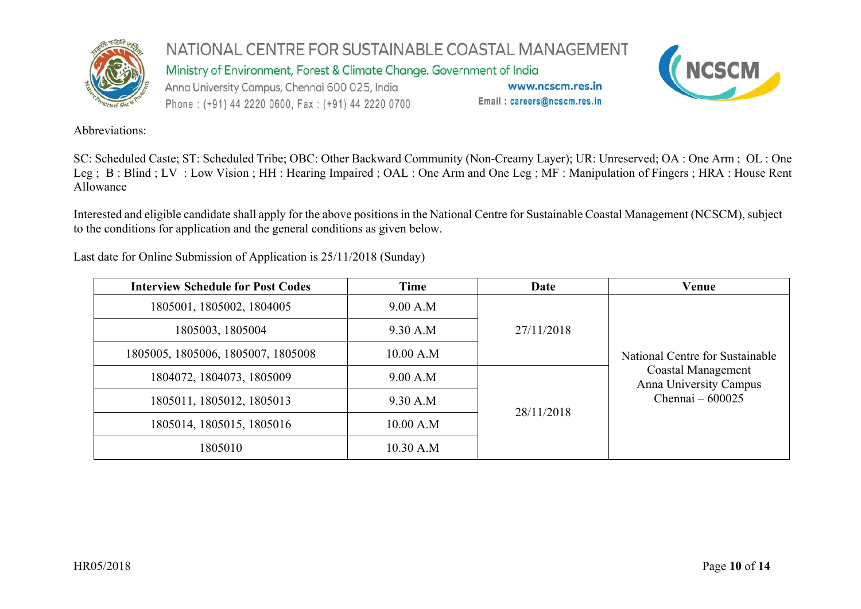

NATIONAL CENTRE FOR SUSTAINABLE COASTAL MANAGEMENT Ministry of Environment, Forest & Climate Change. Government of India Anna University Campus, Chennai 600 025, India www.ncscm.res.in



Email: careers@ncscm.res.in



Abbreviations:

SC: Scheduled Caste; ST: Scheduled Tribe; OBC: Other Backward Community (Non-Creamy Layer); UR: Unreserved; OA : One Arm ; OL : One Leg ; B : Blind ; LV : Low Vision ; HH : Hearing Impaired ; OAL : One Arm and One Leg ; MF : Manipulation of Fingers ; HRA : House Rent Allowance

Interested and eligible candidate shall apply for the above positions in the National Centre for Sustainable Coastal Management (NCSCM), subject to the conditions for application and the general conditions as given below.

Last date for Online Submission of Application is 25/11/2018 (Sunday)

| <b>Interview Schedule for Post Codes</b> | Time      | Date       | Venue                                               |  |  |
|------------------------------------------|-----------|------------|-----------------------------------------------------|--|--|
| 1805001, 1805002, 1804005                | 9.00 A.M  |            |                                                     |  |  |
| 1805003, 1805004                         | 9.30 A.M  | 27/11/2018 |                                                     |  |  |
| 1805005, 1805006, 1805007, 1805008       | 10.00 A.M |            | National Centre for Sustainable                     |  |  |
| 1804072, 1804073, 1805009                | 9.00 A.M  |            | <b>Coastal Management</b><br>Anna University Campus |  |  |
| 1805011, 1805012, 1805013                | 9.30 A.M  | 28/11/2018 | Chennai $-600025$                                   |  |  |
| 1805014, 1805015, 1805016                | 10.00 A.M |            |                                                     |  |  |
| 1805010                                  | 10.30 A.M |            |                                                     |  |  |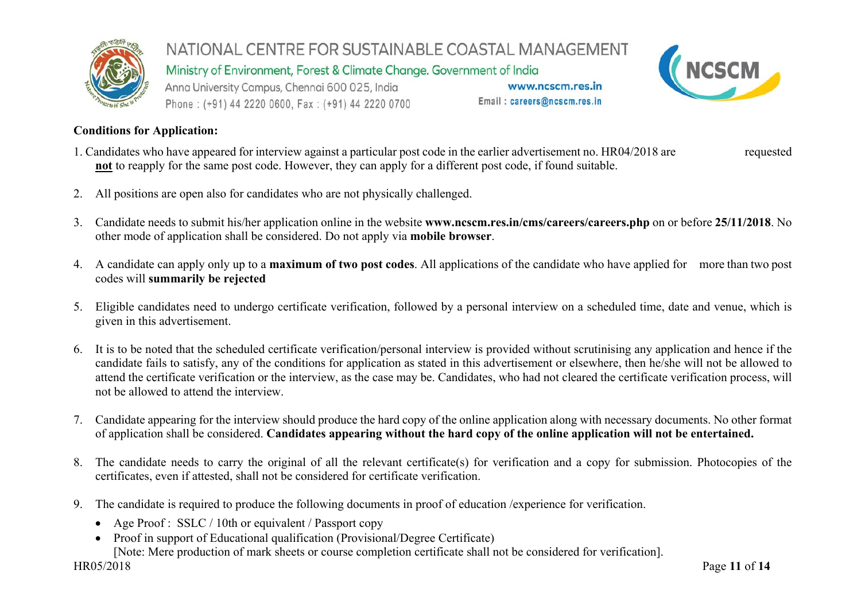

Ministry of Environment, Forest & Climate Change. Government of India

Anna University Campus, Chennai 600 025, India Phone: (+91) 44 2220 0600, Fax: (+91) 44 2220 0700

www.ncscm.res.in Email: careers@ncscm.res.in



#### **Conditions for Application:**

- 1. Candidates who have appeared for interview against a particular post code in the earlier advertisement no. HR04/2018 are requested **not** to reapply for the same post code. However, they can apply for a different post code, if found suitable.
- 2. All positions are open also for candidates who are not physically challenged.
- 3. Candidate needs to submit his/her application online in the website **www.ncscm.res.in/cms/careers/careers.php** on or before **25/11/2018**. No other mode of application shall be considered. Do not apply via **mobile browser**.
- 4. A candidate can apply only up to a **maximum of two post codes**. All applications of the candidate who have applied for more than two post codes will **summarily be rejected**
- 5. Eligible candidates need to undergo certificate verification, followed by a personal interview on a scheduled time, date and venue, which is given in this advertisement.
- 6. It is to be noted that the scheduled certificate verification/personal interview is provided without scrutinising any application and hence if the candidate fails to satisfy, any of the conditions for application as stated in this advertisement or elsewhere, then he/she will not be allowed to attend the certificate verification or the interview, as the case may be. Candidates, who had not cleared the certificate verification process, will not be allowed to attend the interview.
- 7. Candidate appearing for the interview should produce the hard copy of the online application along with necessary documents. No other format of application shall be considered. **Candidates appearing without the hard copy of the online application will not be entertained.**
- 8. The candidate needs to carry the original of all the relevant certificate(s) for verification and a copy for submission. Photocopies of the certificates, even if attested, shall not be considered for certificate verification.
- 9. The candidate is required to produce the following documents in proof of education /experience for verification.
	- Age Proof : SSLC / 10th or equivalent / Passport copy
	- Proof in support of Educational qualification (Provisional/Degree Certificate)

[Note: Mere production of mark sheets or course completion certificate shall not be considered for verification].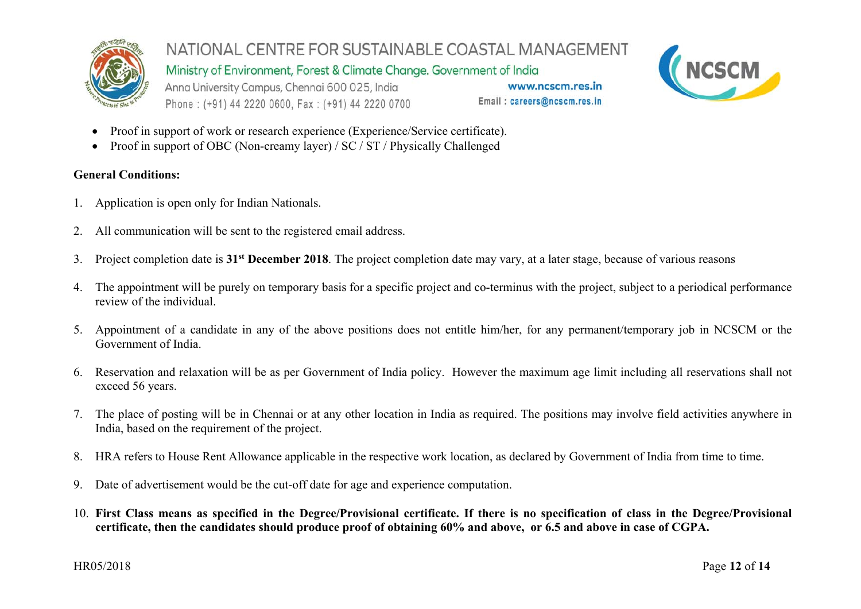

NATIONAL CENTRE FOR SUSTAINABLE COASTAL MANAGEMENT Ministry of Environment, Forest & Climate Change. Government of India

Anna University Campus, Chennai 600 025, India Phone: (+91) 44 2220 0600, Fax: (+91) 44 2220 0700

www.ncscm.res.in Email: careers@ncscm.res.in



- . Proof in support of work or research experience (Experience/Service certificate).
- . Proof in support of OBC (Non-creamy layer) / SC / ST / Physically Challenged

#### **General Conditions:**

- 1. Application is open only for Indian Nationals.
- 2. All communication will be sent to the registered email address.
- 3. Project completion date is **31st December 2018**. The project completion date may vary, at a later stage, because of various reasons
- 4. The appointment will be purely on temporary basis for a specific project and co-terminus with the project, subject to a periodical performance review of the individual.
- 5. Appointment of a candidate in any of the above positions does not entitle him/her, for any permanent/temporary job in NCSCM or the Government of India.
- 6. Reservation and relaxation will be as per Government of India policy. However the maximum age limit including all reservations shall not exceed 56 years.
- 7. The place of posting will be in Chennai or at any other location in India as required. The positions may involve field activities anywhere in India, based on the requirement of the project.
- 8. HRA refers to House Rent Allowance applicable in the respective work location, as declared by Government of India from time to time.
- 9. Date of advertisement would be the cut-off date for age and experience computation.
- 10. **First Class means as specified in the Degree/Provisional certificate. If there is no specification of class in the Degree/Provisional certificate, then the candidates should produce proof of obtaining 60% and above, or 6.5 and above in case of CGPA.**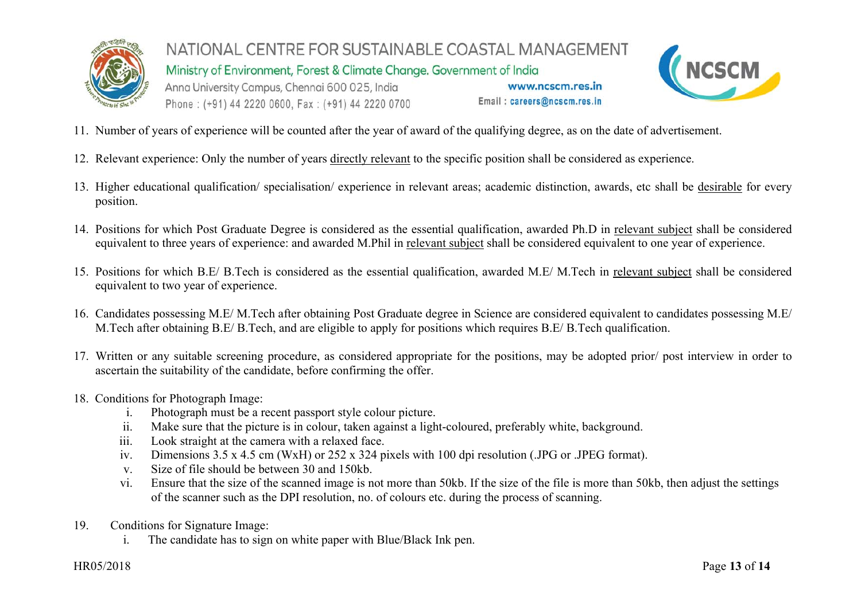

Ministry of Environment, Forest & Climate Change. Government of India

Anna University Campus, Chennai 600 025, India Phone: (+91) 44 2220 0600, Fax: (+91) 44 2220 0700 (NCSCM

www.ncscm.res.in

Email: careers@ncscm.res.in

- 11. Number of years of experience will be counted after the year of award of the qualifying degree, as on the date of advertisement.
- 12. Relevant experience: Only the number of years directly relevant to the specific position shall be considered as experience.
- 13. Higher educational qualification/ specialisation/ experience in relevant areas; academic distinction, awards, etc shall be desirable for every position.
- 14. Positions for which Post Graduate Degree is considered as the essential qualification, awarded Ph.D in relevant subject shall be considered equivalent to three years of experience: and awarded M.Phil in relevant subject shall be considered equivalent to one year of experience.
- 15. Positions for which B.E/ B.Tech is considered as the essential qualification, awarded M.E/ M.Tech in relevant subject shall be considered equivalent to two year of experience.
- 16. Candidates possessing M.E/ M.Tech after obtaining Post Graduate degree in Science are considered equivalent to candidates possessing M.E/ M.Tech after obtaining B.E/ B.Tech, and are eligible to apply for positions which requires B.E/ B.Tech qualification.
- 17. Written or any suitable screening procedure, as considered appropriate for the positions, may be adopted prior/ post interview in order to ascertain the suitability of the candidate, before confirming the offer.
- 18. Conditions for Photograph Image:
	- i.Photograph must be a recent passport style colour picture.
	- ii.Make sure that the picture is in colour, taken against a light-coloured, preferably white, background.
	- iii.Look straight at the camera with a relaxed face.
	- iv.Dimensions 3.5 x 4.5 cm (WxH) or 252 x 324 pixels with 100 dpi resolution (.JPG or .JPEG format).
	- v.Size of file should be between 30 and 150kb.
	- vi. Ensure that the size of the scanned image is not more than 50kb. If the size of the file is more than 50kb, then adjust the settings of the scanner such as the DPI resolution, no. of colours etc. during the process of scanning.
- 19. Conditions for Signature Image:
	- i.The candidate has to sign on white paper with Blue/Black Ink pen.